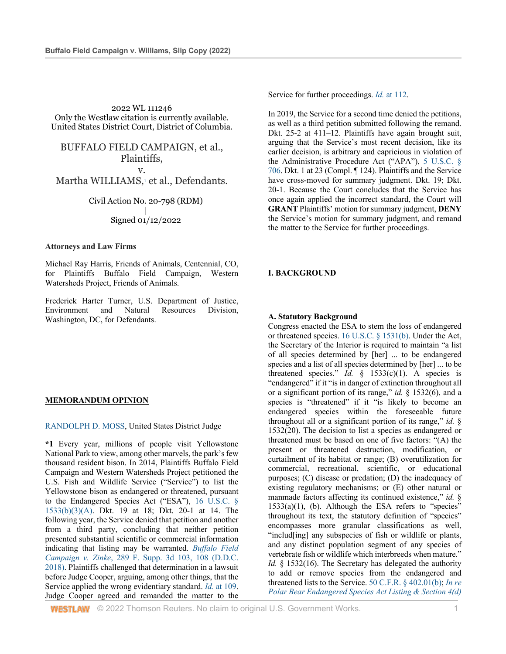2022 WL 111246 Only the Westlaw citation is currently available. United States District Court, District of Columbia.

BUFFALO FIELD CAMPAIGN, et al., Plaintiffs, v.

Martha WILLIAMS, $\frac{1}{1}$  et al., Defendants.

Civil Action No. 20-798 (RDM) | Signed 01/12/2022

#### **Attorneys and Law Firms**

Michael Ray Harris, Friends of Animals, Centennial, CO, for Plaintiffs Buffalo Field Campaign, Western Watersheds Project, Friends of Animals.

Frederick Harter Turner, U.S. Department of Justice, Environment and Natural Resources Division, Washington, DC, for Defendants.

### **MEMORANDUM OPINION**

RANDOLPH D. MOSS, United States District Judge

**\*1** Every year, millions of people visit Yellowstone National Park to view, among other marvels, the park's few thousand resident bison. In 2014, Plaintiffs Buffalo Field Campaign and Western Watersheds Project petitioned the U.S. Fish and Wildlife Service ("Service") to list the Yellowstone bison as endangered or threatened, pursuant to the Endangered Species Act ("ESA"), 16 U.S.C. § 1533(b)(3)(A). Dkt. 19 at 18; Dkt. 20-1 at 14. The following year, the Service denied that petition and another from a third party, concluding that neither petition presented substantial scientific or commercial information indicating that listing may be warranted. *Buffalo Field Campaign v. Zinke*, 289 F. Supp. 3d 103, 108 (D.D.C. 2018). Plaintiffs challenged that determination in a lawsuit before Judge Cooper, arguing, among other things, that the Service applied the wrong evidentiary standard. *Id.* at 109. Judge Cooper agreed and remanded the matter to the

**WESTLAW** © 2022 Thomson Reuters. No claim to original U.S. Government Works. 1

Service for further proceedings. *Id.* at 112.

In 2019, the Service for a second time denied the petitions, as well as a third petition submitted following the remand. Dkt. 25-2 at 411–12. Plaintiffs have again brought suit, arguing that the Service's most recent decision, like its earlier decision, is arbitrary and capricious in violation of the Administrative Procedure Act ("APA"), 5 U.S.C. § 706. Dkt. 1 at 23 (Compl. ¶ 124). Plaintiffs and the Service have cross-moved for summary judgment. Dkt. 19; Dkt. 20-1. Because the Court concludes that the Service has once again applied the incorrect standard, the Court will **GRANT** Plaintiffs' motion for summary judgment, **DENY** the Service's motion for summary judgment, and remand the matter to the Service for further proceedings.

### **I. BACKGROUND**

#### **A. Statutory Background**

Congress enacted the ESA to stem the loss of endangered or threatened species. 16 U.S.C. § 1531(b). Under the Act, the Secretary of the Interior is required to maintain "a list of all species determined by [her] ... to be endangered species and a list of all species determined by [her] ... to be threatened species." *Id.*  $\frac{1}{2}$  1533(c)(1). A species is "endangered" if it "is in danger of extinction throughout all or a significant portion of its range," *id.* § 1532(6), and a species is "threatened" if it "is likely to become an endangered species within the foreseeable future throughout all or a significant portion of its range," *id.* § 1532(20). The decision to list a species as endangered or threatened must be based on one of five factors: "(A) the present or threatened destruction, modification, or curtailment of its habitat or range; (B) overutilization for commercial, recreational, scientific, or educational purposes; (C) disease or predation; (D) the inadequacy of existing regulatory mechanisms; or (E) other natural or manmade factors affecting its continued existence," *id.* §  $1533(a)(1)$ , (b). Although the ESA refers to "species" throughout its text, the statutory definition of "species" encompasses more granular classifications as well, "includ[ing] any subspecies of fish or wildlife or plants, and any distinct population segment of any species of vertebrate fish or wildlife which interbreeds when mature." *Id.* § 1532(16). The Secretary has delegated the authority to add or remove species from the endangered and threatened lists to the Service. 50 C.F.R. § 402.01(b); *In re Polar Bear Endangered Species Act Listing & Section 4(d)*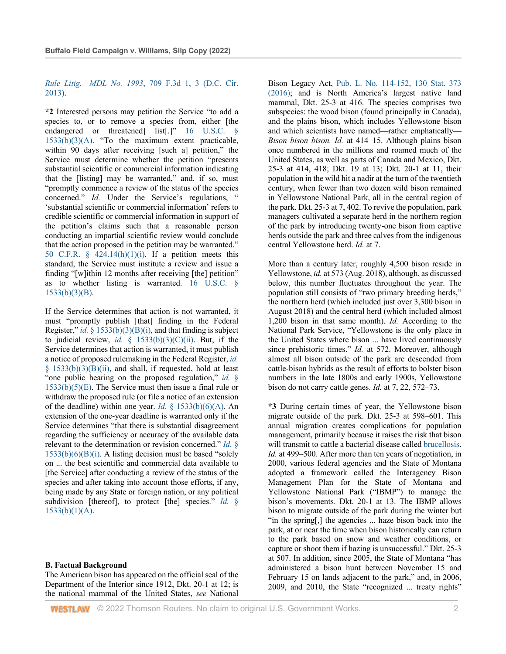*Rule Litig.—MDL No. 1993*, 709 F.3d 1, 3 (D.C. Cir. 2013).

**\*2** Interested persons may petition the Service "to add a species to, or to remove a species from, either [the endangered or threatened] list[.]" 16 U.S.C. 1533(b)(3)(A). "To the maximum extent practicable, within 90 days after receiving [such a] petition," the Service must determine whether the petition "presents substantial scientific or commercial information indicating that the [listing] may be warranted," and, if so, must "promptly commence a review of the status of the species concerned." *Id.* Under the Service's regulations, " 'substantial scientific or commercial information' refers to credible scientific or commercial information in support of the petition's claims such that a reasonable person conducting an impartial scientific review would conclude that the action proposed in the petition may be warranted." 50 C.F.R.  $\S$  424.14(h)(1)(i). If a petition meets this standard, the Service must institute a review and issue a finding "[w]ithin 12 months after receiving [the] petition" as to whether listing is warranted. 16 U.S.C. § 1533(b)(3)(B).

If the Service determines that action is not warranted, it must "promptly publish [that] finding in the Federal Register," *id.* § 1533(b)(3)(B)(i), and that finding is subject to judicial review, *id.* §  $1533(b)(3)(C)(ii)$ . But, if the Service determines that action is warranted, it must publish a notice of proposed rulemaking in the Federal Register, *id.* § 1533(b)(3)(B)(ii), and shall, if requested, hold at least "one public hearing on the proposed regulation," *id.* § 1533(b)(5)(E). The Service must then issue a final rule or withdraw the proposed rule (or file a notice of an extension of the deadline) within one year. *Id.* § 1533(b)(6)(A). An extension of the one-year deadline is warranted only if the Service determines "that there is substantial disagreement regarding the sufficiency or accuracy of the available data relevant to the determination or revision concerned." *Id.* §  $1533(b)(6)(B)(i)$ . A listing decision must be based "solely on ... the best scientific and commercial data available to [the Service] after conducting a review of the status of the species and after taking into account those efforts, if any, being made by any State or foreign nation, or any political subdivision [thereof], to protect [the] species." *Id.* §  $1533(b)(1)(A)$ .

#### **B. Factual Background**

The American bison has appeared on the official seal of the Department of the Interior since 1912, Dkt. 20-1 at 12; is the national mammal of the United States, *see* National Bison Legacy Act, Pub. L. No. 114-152, 130 Stat. 373 (2016); and is North America's largest native land mammal, Dkt. 25-3 at 416. The species comprises two subspecies: the wood bison (found principally in Canada), and the plains bison, which includes Yellowstone bison and which scientists have named—rather emphatically— *Bison bison bison. Id.* at 414–15. Although plains bison once numbered in the millions and roamed much of the United States, as well as parts of Canada and Mexico, Dkt. 25-3 at 414, 418; Dkt. 19 at 13; Dkt. 20-1 at 11, their population in the wild hit a nadir at the turn of the twentieth century, when fewer than two dozen wild bison remained in Yellowstone National Park, all in the central region of the park. Dkt. 25-3 at 7, 402. To revive the population, park managers cultivated a separate herd in the northern region of the park by introducing twenty-one bison from captive herds outside the park and three calves from the indigenous central Yellowstone herd. *Id.* at 7.

More than a century later, roughly 4,500 bison reside in Yellowstone, *id.* at 573 (Aug. 2018), although, as discussed below, this number fluctuates throughout the year. The population still consists of "two primary breeding herds," the northern herd (which included just over 3,300 bison in August 2018) and the central herd (which included almost 1,200 bison in that same month). *Id.* According to the National Park Service, "Yellowstone is the only place in the United States where bison ... have lived continuously since prehistoric times." *Id.* at 572. Moreover, although almost all bison outside of the park are descended from cattle-bison hybrids as the result of efforts to bolster bison numbers in the late 1800s and early 1900s, Yellowstone bison do not carry cattle genes. *Id.* at 7, 22, 572–73.

**\*3** During certain times of year, the Yellowstone bison migrate outside of the park. Dkt. 25-3 at 598–601. This annual migration creates complications for population management, primarily because it raises the risk that bison will transmit to cattle a bacterial disease called brucellosis. *Id.* at 499–500. After more than ten years of negotiation, in 2000, various federal agencies and the State of Montana adopted a framework called the Interagency Bison Management Plan for the State of Montana and Yellowstone National Park ("IBMP") to manage the bison's movements. Dkt. 20-1 at 13. The IBMP allows bison to migrate outside of the park during the winter but "in the spring[,] the agencies ... haze bison back into the park, at or near the time when bison historically can return to the park based on snow and weather conditions, or capture or shoot them if hazing is unsuccessful." Dkt. 25-3 at 507. In addition, since 2005, the State of Montana "has administered a bison hunt between November 15 and February 15 on lands adjacent to the park," and, in 2006, 2009, and 2010, the State "recognized ... treaty rights"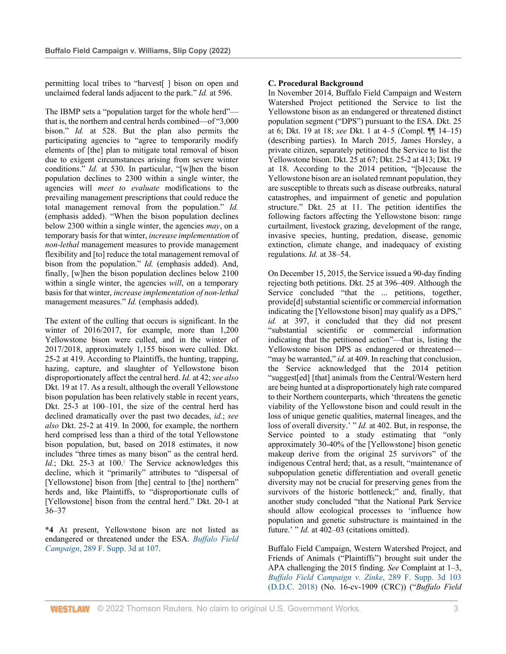permitting local tribes to "harvest[ ] bison on open and unclaimed federal lands adjacent to the park." *Id.* at 596.

The IBMP sets a "population target for the whole herd" that is, the northern and central herds combined—of "3,000 bison." *Id.* at 528. But the plan also permits the participating agencies to "agree to temporarily modify elements of [the] plan to mitigate total removal of bison due to exigent circumstances arising from severe winter conditions." *Id.* at 530. In particular, "[w]hen the bison population declines to 2300 within a single winter, the agencies will *meet to evaluate* modifications to the prevailing management prescriptions that could reduce the total management removal from the population." *Id.* (emphasis added). "When the bison population declines below 2300 within a single winter, the agencies *may*, on a temporary basis for that winter, *increase implementation* of *non-lethal* management measures to provide management flexibility and [to] reduce the total management removal of bison from the population." *Id.* (emphasis added). And, finally, [w]hen the bison population declines below 2100 within a single winter, the agencies *will*, on a temporary basis for that winter, *increase implementation of non-lethal* management measures." *Id.* (emphasis added).

The extent of the culling that occurs is significant. In the winter of 2016/2017, for example, more than 1,200 Yellowstone bison were culled, and in the winter of 2017/2018, approximately 1,155 bison were culled. Dkt. 25-2 at 419. According to Plaintiffs, the hunting, trapping, hazing, capture, and slaughter of Yellowstone bison disproportionately affect the central herd. *Id.* at 42; *see also* Dkt. 19 at 17. As a result, although the overall Yellowstone bison population has been relatively stable in recent years, Dkt. 25-3 at 100–101, the size of the central herd has declined dramatically over the past two decades, *id.*; *see also* Dkt. 25-2 at 419. In 2000, for example, the northern herd comprised less than a third of the total Yellowstone bison population, but, based on 2018 estimates, it now includes "three times as many bison" as the central herd. *Id.*; Dkt. 25-3 at 100.<sup>2</sup> The Service acknowledges this decline, which it "primarily" attributes to "dispersal of [Yellowstone] bison from [the] central to [the] northern" herds and, like Plaintiffs, to "disproportionate culls of [Yellowstone] bison from the central herd." Dkt. 20-1 at 36–37

**\*4** At present, Yellowstone bison are not listed as endangered or threatened under the ESA. *Buffalo Field Campaign*, 289 F. Supp. 3d at 107.

# **C. Procedural Background**

In November 2014, Buffalo Field Campaign and Western Watershed Project petitioned the Service to list the Yellowstone bison as an endangered or threatened distinct population segment ("DPS") pursuant to the ESA. Dkt. 25 at 6; Dkt. 19 at 18; *see* Dkt. 1 at 4–5 (Compl. ¶¶ 14–15) (describing parties). In March 2015, James Horsley, a private citizen, separately petitioned the Service to list the Yellowstone bison. Dkt. 25 at 67; Dkt. 25-2 at 413; Dkt. 19 at 18. According to the 2014 petition, "[b]ecause the Yellowstone bison are an isolated remnant population, they are susceptible to threats such as disease outbreaks, natural catastrophes, and impairment of genetic and population structure." Dkt. 25 at 11. The petition identifies the following factors affecting the Yellowstone bison: range curtailment, livestock grazing, development of the range, invasive species, hunting, predation, disease, genomic extinction, climate change, and inadequacy of existing regulations. *Id.* at 38–54.

On December 15, 2015, the Service issued a 90-day finding rejecting both petitions. Dkt. 25 at 396–409. Although the Service concluded "that the ... petitions, together, provide[d] substantial scientific or commercial information indicating the [Yellowstone bison] may qualify as a DPS," *id.* at 397, it concluded that they did not present "substantial scientific or commercial information indicating that the petitioned action"—that is, listing the Yellowstone bison DPS as endangered or threatened— "may be warranted," *id.* at 409. In reaching that conclusion, the Service acknowledged that the 2014 petition "suggest[ed] [that] animals from the Central/Western herd are being hunted at a disproportionately high rate compared to their Northern counterparts, which 'threatens the genetic viability of the Yellowstone bison and could result in the loss of unique genetic qualities, maternal lineages, and the loss of overall diversity.' " *Id.* at 402. But, in response, the Service pointed to a study estimating that "only approximately 30-40% of the [Yellowstone] bison genetic makeup derive from the original 25 survivors" of the indigenous Central herd; that, as a result, "maintenance of subpopulation genetic differentiation and overall genetic diversity may not be crucial for preserving genes from the survivors of the historic bottleneck;" and, finally, that another study concluded "that the National Park Service should allow ecological processes to 'influence how population and genetic substructure is maintained in the future.' " *Id.* at 402–03 (citations omitted).

Buffalo Field Campaign, Western Watershed Project, and Friends of Animals ("Plaintiffs") brought suit under the APA challenging the 2015 finding. *See* Complaint at 1–3, *Buffalo Field Campaign v. Zinke*, 289 F. Supp. 3d 103 (D.D.C. 2018) (No. 16-cv-1909 (CRC)) ("*Buffalo Field*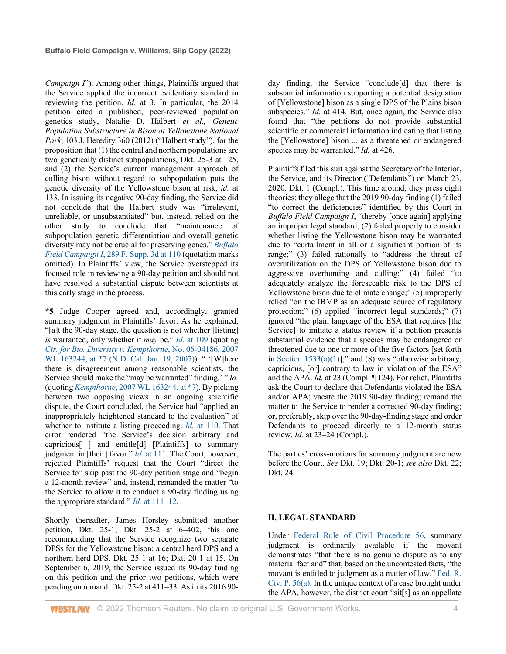*Campaign I*"). Among other things, Plaintiffs argued that the Service applied the incorrect evidentiary standard in reviewing the petition. *Id.* at 3. In particular, the 2014 petition cited a published, peer-reviewed population genetics study, Natalie D. Halbert *et al., Genetic Population Substructure in Bison at Yellowstone National Park*, 103 J. Heredity 360 (2012) ("Halbert study"), for the proposition that (1) the central and northern populations are two genetically distinct subpopulations, Dkt. 25-3 at 125, and (2) the Service's current management approach of culling bison without regard to subpopulation puts the genetic diversity of the Yellowstone bison at risk, *id.* at 133. In issuing its negative 90-day finding, the Service did not conclude that the Halbert study was "irrelevant, unreliable, or unsubstantiated" but, instead, relied on the other study to conclude that "maintenance of subpopulation genetic differentiation and overall genetic diversity may not be crucial for preserving genes." *Buffalo Field Campaign I*, 289 F. Supp. 3d at 110 (quotation marks omitted). In Plaintiffs' view, the Service overstepped its focused role in reviewing a 90-day petition and should not have resolved a substantial dispute between scientists at this early stage in the process.

**\*5** Judge Cooper agreed and, accordingly, granted summary judgment in Plaintiffs' favor. As he explained, "[a]t the 90-day stage, the question is not whether [listing] *is* warranted, only whether it *may* be." *Id.* at 109 (quoting *Ctr. for Bio. Diversity v. Kempthorne*, No. 06-04186, 2007 WL 163244, at \*7 (N.D. Cal. Jan. 19, 2007)). " '[W]here there is disagreement among reasonable scientists, the Service should make the "may be warranted" finding.' " *Id.* (quoting *Kempthorne*, 2007 WL 163244, at \*7). By picking between two opposing views in an ongoing scientific dispute, the Court concluded, the Service had "applied an inappropriately heightened standard to the evaluation" of whether to institute a listing proceeding. *Id.* at 110. That error rendered "the Service's decision arbitrary and capricious[ ] and entitle[d] [Plaintiffs] to summary judgment in [their] favor." *Id.* at 111. The Court, however, rejected Plaintiffs' request that the Court "direct the Service to" skip past the 90-day petition stage and "begin a 12-month review" and, instead, remanded the matter "to the Service to allow it to conduct a 90-day finding using the appropriate standard." *Id.* at 111–12.

Shortly thereafter, James Horsley submitted another petition, Dkt. 25-1; Dkt. 25-2 at 6–402, this one recommending that the Service recognize two separate DPSs for the Yellowstone bison: a central herd DPS and a northern herd DPS. Dkt. 25-1 at 16; Dkt. 20-1 at 15. On September 6, 2019, the Service issued its 90-day finding on this petition and the prior two petitions, which were pending on remand. Dkt. 25-2 at 411–33. As in its 2016 90day finding, the Service "conclude[d] that there is substantial information supporting a potential designation of [Yellowstone] bison as a single DPS of the Plains bison subspecies." *Id.* at 414. But, once again, the Service also found that "the petitions do not provide substantial scientific or commercial information indicating that listing the [Yellowstone] bison ... as a threatened or endangered species may be warranted." *Id.* at 426.

Plaintiffs filed this suit against the Secretary of the Interior, the Service, and its Director ("Defendants") on March 23, 2020. Dkt. 1 (Compl.). This time around, they press eight theories: they allege that the 2019 90-day finding (1) failed "to correct the deficiencies" identified by this Court in *Buffalo Field Campaign I*, "thereby [once again] applying an improper legal standard; (2) failed properly to consider whether listing the Yellowstone bison may be warranted due to "curtailment in all or a significant portion of its range;" (3) failed rationally to "address the threat of overutilization on the DPS of Yellowstone bison due to aggressive overhunting and culling;" (4) failed "to adequately analyze the foreseeable risk to the DPS of Yellowstone bison due to climate change;" (5) improperly relied "on the IBMP as an adequate source of regulatory protection;" (6) applied "incorrect legal standards;" (7) ignored "the plain language of the ESA that requires [the Service] to initiate a status review if a petition presents substantial evidence that a species may be endangered or threatened due to one or more of the five factors [set forth in Section  $1533(a)(1)$ ];" and (8) was "otherwise arbitrary, capricious, [or] contrary to law in violation of the ESA" and the APA. *Id.* at 23 (Compl. ¶ 124). For relief, Plaintiffs ask the Court to declare that Defendants violated the ESA and/or APA; vacate the 2019 90-day finding; remand the matter to the Service to render a corrected 90-day finding; or, preferably, skip over the 90-day-finding stage and order Defendants to proceed directly to a 12-month status review. *Id.* at 23–24 (Compl.).

The parties' cross-motions for summary judgment are now before the Court. *See* Dkt. 19; Dkt. 20-1; *see also* Dkt. 22; Dkt. 24.

# **II. LEGAL STANDARD**

Under Federal Rule of Civil Procedure 56, summary judgment is ordinarily available if the movant demonstrates "that there is no genuine dispute as to any material fact and" that, based on the uncontested facts, "the movant is entitled to judgment as a matter of law." Fed. R. Civ. P. 56(a). In the unique context of a case brought under the APA, however, the district court "sit[s] as an appellate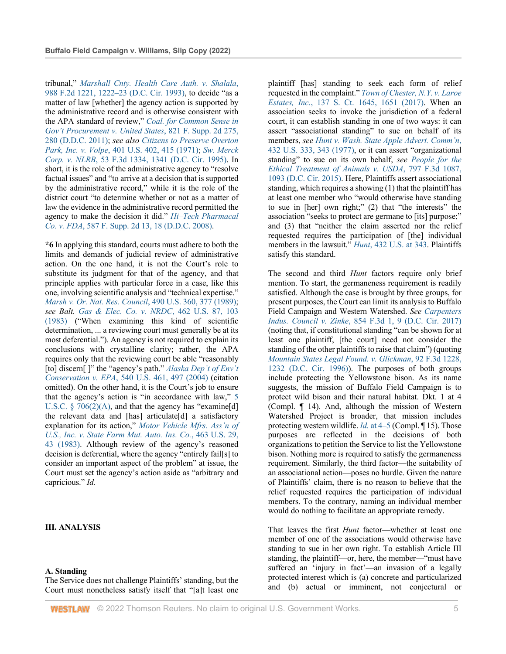tribunal," *Marshall Cnty. Health Care Auth. v. Shalala*, 988 F.2d 1221, 1222–23 (D.C. Cir. 1993), to decide "as a matter of law [whether] the agency action is supported by the administrative record and is otherwise consistent with the APA standard of review," *Coal. for Common Sense in Gov't Procurement v. United States*, 821 F. Supp. 2d 275, 280 (D.D.C. 2011); *see also Citizens to Preserve Overton Park, Inc. v. Volpe*, 401 U.S. 402, 415 (1971); *Sw. Merck Corp. v. NLRB*, 53 F.3d 1334, 1341 (D.C. Cir. 1995). In short, it is the role of the administrative agency to "resolve factual issues" and "to arrive at a decision that is supported by the administrative record," while it is the role of the district court "to determine whether or not as a matter of law the evidence in the administrative record permitted the agency to make the decision it did." *Hi–Tech Pharmacal Co. v. FDA*, 587 F. Supp. 2d 13, 18 (D.D.C. 2008).

**\*6** In applying this standard, courts must adhere to both the limits and demands of judicial review of administrative action. On the one hand, it is not the Court's role to substitute its judgment for that of the agency, and that principle applies with particular force in a case, like this one, involving scientific analysis and "technical expertise." *Marsh v. Or. Nat. Res. Council*, 490 U.S. 360, 377 (1989); *see Balt. Gas & Elec. Co. v. NRDC*, 462 U.S. 87, 103 (1983) ("When examining this kind of scientific determination, ... a reviewing court must generally be at its most deferential."). An agency is not required to explain its conclusions with crystalline clarity; rather, the APA requires only that the reviewing court be able "reasonably [to] discern[ ]" the "agency's path." *Alaska Dep't of Env't Conservation v. EPA*, 540 U.S. 461, 497 (2004) (citation omitted). On the other hand, it is the Court's job to ensure that the agency's action is "in accordance with law," 5 U.S.C.  $\S$  706(2)(A), and that the agency has "examine[d] the relevant data and [has] articulate[d] a satisfactory explanation for its action," *Motor Vehicle Mfrs. Ass'n of U.S., Inc. v. State Farm Mut. Auto. Ins. Co.*, 463 U.S. 29, 43 (1983). Although review of the agency's reasoned decision is deferential, where the agency "entirely fail[s] to consider an important aspect of the problem" at issue, the Court must set the agency's action aside as "arbitrary and capricious." *Id.*

# **III. ANALYSIS**

#### **A. Standing**

The Service does not challenge Plaintiffs' standing, but the Court must nonetheless satisfy itself that "[a]t least one plaintiff [has] standing to seek each form of relief requested in the complaint." *Town of Chester, N.Y. v. Laroe Estates, Inc.*, 137 S. Ct. 1645, 1651 (2017). When an association seeks to invoke the jurisdiction of a federal court, it can establish standing in one of two ways: it can assert "associational standing" to sue on behalf of its members, *see Hunt v. Wash. State Apple Advert. Comm'n*, 432 U.S. 333, 343 (1977), or it can assert "organizational standing" to sue on its own behalf, *see People for the Ethical Treatment of Animals v. USDA*, 797 F.3d 1087, 1093 (D.C. Cir. 2015). Here, Plaintiffs assert associational standing, which requires a showing (1) that the plaintiff has at least one member who "would otherwise have standing to sue in [her] own right;" (2) that "the interests" the association "seeks to protect are germane to [its] purpose;" and (3) that "neither the claim asserted nor the relief requested requires the participation of [the] individual members in the lawsuit." *Hunt*, 432 U.S. at 343. Plaintiffs satisfy this standard.

The second and third *Hunt* factors require only brief mention. To start, the germaneness requirement is readily satisfied. Although the case is brought by three groups, for present purposes, the Court can limit its analysis to Buffalo Field Campaign and Western Watershed. *See Carpenters Indus. Council v. Zinke*, 854 F.3d 1, 9 (D.C. Cir. 2017) (noting that, if constitutional standing "can be shown for at least one plaintiff, [the court] need not consider the standing of the other plaintiffs to raise that claim") (quoting *Mountain States Legal Found. v. Glickman*, 92 F.3d 1228, 1232 (D.C. Cir. 1996)). The purposes of both groups include protecting the Yellowstone bison. As its name suggests, the mission of Buffalo Field Campaign is to protect wild bison and their natural habitat. Dkt. 1 at 4 (Compl. ¶ 14). And, although the mission of Western Watershed Project is broader, that mission includes protecting western wildlife. *Id.* at 4–5 (Compl. ¶ 15). Those purposes are reflected in the decisions of both organizations to petition the Service to list the Yellowstone bison. Nothing more is required to satisfy the germaneness requirement. Similarly, the third factor—the suitability of an associational action—poses no hurdle. Given the nature of Plaintiffs' claim, there is no reason to believe that the relief requested requires the participation of individual members. To the contrary, naming an individual member would do nothing to facilitate an appropriate remedy.

That leaves the first *Hunt* factor—whether at least one member of one of the associations would otherwise have standing to sue in her own right. To establish Article III standing, the plaintiff—or, here, the member—"must have suffered an 'injury in fact'—an invasion of a legally protected interest which is (a) concrete and particularized and (b) actual or imminent, not conjectural or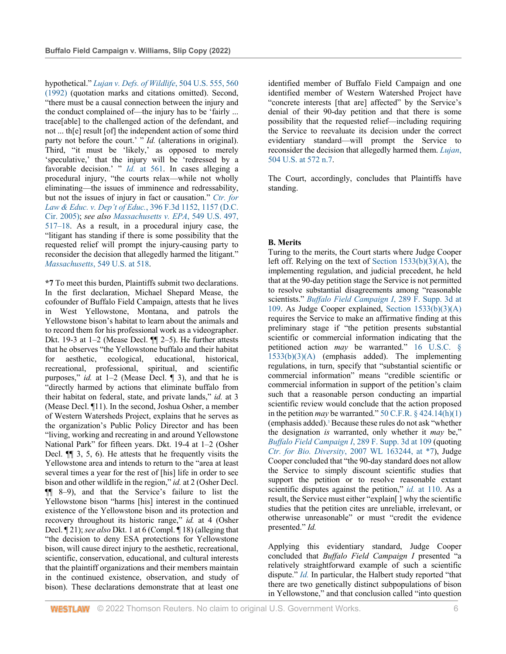hypothetical." *Lujan v. Defs. of Wildlife*, 504 U.S. 555, 560 (1992) (quotation marks and citations omitted). Second, "there must be a causal connection between the injury and the conduct complained of—the injury has to be 'fairly ... trace[able] to the challenged action of the defendant, and not ... th[e] result [of] the independent action of some third party not before the court.' " *Id.* (alterations in original). Third, "it must be 'likely,' as opposed to merely 'speculative,' that the injury will be 'redressed by a favorable decision.' " *Id.* at 561. In cases alleging a procedural injury, "the courts relax—while not wholly eliminating—the issues of imminence and redressability, but not the issues of injury in fact or causation." *Ctr. for Law & Educ. v. Dep't of Educ.*, 396 F.3d 1152, 1157 (D.C. Cir. 2005); *see also Massachusetts v. EPA*, 549 U.S. 497, 517–18. As a result, in a procedural injury case, the "litigant has standing if there is some possibility that the requested relief will prompt the injury-causing party to reconsider the decision that allegedly harmed the litigant." *Massachusetts*, 549 U.S. at 518.

**\*7** To meet this burden, Plaintiffs submit two declarations. In the first declaration, Michael Shepard Mease, the cofounder of Buffalo Field Campaign, attests that he lives in West Yellowstone, Montana, and patrols the Yellowstone bison's habitat to learn about the animals and to record them for his professional work as a videographer. Dkt. 19-3 at 1–2 (Mease Decl. ¶¶ 2–5). He further attests that he observes "the Yellowstone buffalo and their habitat for aesthetic, ecological, educational, historical, recreational, professional, spiritual, and scientific purposes," *id.* at 1–2 (Mease Decl. ¶ 3), and that he is "directly harmed by actions that eliminate buffalo from their habitat on federal, state, and private lands," *id.* at 3 (Mease Decl. ¶11). In the second, Joshua Osher, a member of Western Watersheds Project, explains that he serves as the organization's Public Policy Director and has been "living, working and recreating in and around Yellowstone National Park" for fifteen years. Dkt. 19-4 at 1–2 (Osher Decl. ¶¶ 3, 5, 6). He attests that he frequently visits the Yellowstone area and intends to return to the "area at least several times a year for the rest of [his] life in order to see bison and other wildlife in the region," *id.* at 2 (Osher Decl. ¶¶ 8–9), and that the Service's failure to list the Yellowstone bison "harms [his] interest in the continued existence of the Yellowstone bison and its protection and recovery throughout its historic range," *id.* at 4 (Osher Decl. ¶ 21); *see also* Dkt. 1 at 6 (Compl. ¶ 18) (alleging that "the decision to deny ESA protections for Yellowstone bison, will cause direct injury to the aesthetic, recreational, scientific, conservation, educational, and cultural interests that the plaintiff organizations and their members maintain in the continued existence, observation, and study of bison). These declarations demonstrate that at least one

identified member of Buffalo Field Campaign and one identified member of Western Watershed Project have "concrete interests [that are] affected" by the Service's denial of their 90-day petition and that there is some possibility that the requested relief—including requiring the Service to reevaluate its decision under the correct evidentiary standard—will prompt the Service to reconsider the decision that allegedly harmed them. *Lujan*, 504 U.S. at 572 n.7.

The Court, accordingly, concludes that Plaintiffs have standing.

# **B. Merits**

Turing to the merits, the Court starts where Judge Cooper left off. Relying on the text of Section 1533(b)(3)(A), the implementing regulation, and judicial precedent, he held that at the 90-day petition stage the Service is not permitted to resolve substantial disagreements among "reasonable scientists." *Buffalo Field Campaign I*, 289 F. Supp. 3d at 109. As Judge Cooper explained, Section 1533(b)(3)(A) requires the Service to make an affirmative finding at this preliminary stage if "the petition presents substantial scientific or commercial information indicating that the petitioned action *may* be warranted." 16 U.S.C. § 1533(b)(3)(A) (emphasis added). The implementing regulations, in turn, specify that "substantial scientific or commercial information" means "credible scientific or commercial information in support of the petition's claim such that a reasonable person conducting an impartial scientific review would conclude that the action proposed in the petition *may* be warranted." 50 C.F.R.  $\S$  424.14(h)(1) (emphasis added).3 Because these rules do not ask "whether the designation *is* warranted, only whether it *may* be," *Buffalo Field Campaign I*, 289 F. Supp. 3d at 109 (quoting *Ctr. for Bio. Diversity*, 2007 WL 163244, at \*7), Judge Cooper concluded that "the 90-day standard does not allow the Service to simply discount scientific studies that support the petition or to resolve reasonable extant scientific disputes against the petition," *id.* at 110. As a result, the Service must either "explain[ ] why the scientific studies that the petition cites are unreliable, irrelevant, or otherwise unreasonable" or must "credit the evidence presented." *Id.*

Applying this evidentiary standard, Judge Cooper concluded that *Buffalo Field Campaign I* presented "a relatively straightforward example of such a scientific dispute." *Id.* In particular, the Halbert study reported "that there are two genetically distinct subpopulations of bison in Yellowstone," and that conclusion called "into question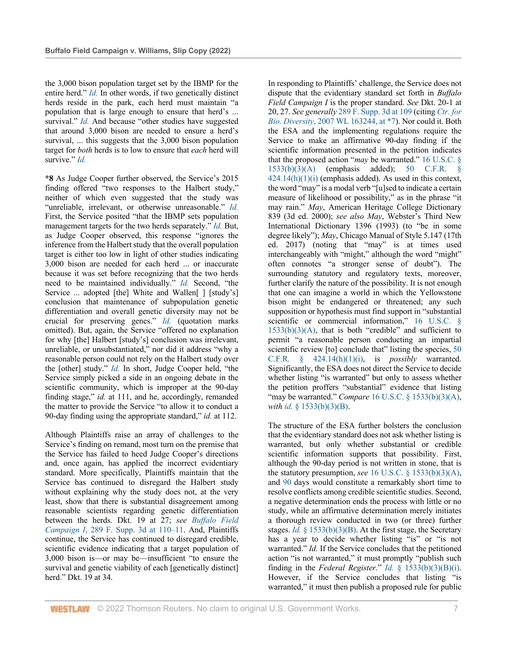the 3,000 bison population target set by the IBMP for the entire herd." *Id.* In other words, if two genetically distinct herds reside in the park, each herd must maintain "a population that is large enough to ensure that herd's ... survival." *Id.* And because "other studies have suggested that around 3,000 bison are needed to ensure a herd's survival, ... this suggests that the 3,000 bison population target for *both* herds is to low to ensure that *each* herd will survive." *Id.*

**\*8** As Judge Cooper further observed, the Service's 2015 finding offered "two responses to the Halbert study," neither of which even suggested that the study was "unreliable, irrelevant, or otherwise unreasonable." *Id.* First, the Service posited "that the IBMP sets population management targets for the two herds separately." *Id.* But, as Judge Cooper observed, this response "ignores the inference from the Halbert study that the overall population target is either too low in light of other studies indicating 3,000 bison are needed for each herd ... or inaccurate because it was set before recognizing that the two herds need to be maintained individually." *Id.* Second, "the Service ... adopted [the] White and Wallen[ ] [study's] conclusion that maintenance of subpopulation genetic differentiation and overall genetic diversity may not be crucial for preserving genes." *Id.* (quotation marks omitted). But, again, the Service "offered no explanation for why [the] Halbert [study's] conclusion was irrelevant, unreliable, or unsubstantiated," nor did it address "why a reasonable person could not rely on the Halbert study over the [other] study." *Id.* In short, Judge Cooper held, "the Service simply picked a side in an ongoing debate in the scientific community, which is improper at the 90-day finding stage," *id.* at 111, and he, accordingly, remanded the matter to provide the Service "to allow it to conduct a 90-day finding using the appropriate standard," *id.* at 112.

Although Plaintiffs raise an array of challenges to the Service's finding on remand, most turn on the premise that the Service has failed to heed Judge Cooper's directions and, once again, has applied the incorrect evidentiary standard. More specifically, Plaintiffs maintain that the Service has continued to disregard the Halbert study without explaining why the study does not, at the very least, show that there is substantial disagreement among reasonable scientists regarding genetic differentiation between the herds. Dkt. 19 at 27; *see Buffalo Field Campaign I*, 289 F. Supp. 3d at 110–11. And, Plaintiffs continue, the Service has continued to disregard credible, scientific evidence indicating that a target population of 3,000 bison is—or may be—insufficient "to ensure the survival and genetic viability of each [genetically distinct] herd." Dkt. 19 at 34.

In responding to Plaintiffs' challenge, the Service does not dispute that the evidentiary standard set forth in *Buffalo Field Campaign I* is the proper standard. *See* Dkt. 20-1 at 20, 27. *See generally* 289 F. Supp. 3d at 109 (citing *Ctr. for Bio. Diversity*, 2007 WL 163244, at \*7). Nor could it. Both the ESA and the implementing regulations require the Service to make an affirmative 90-day finding if the scientific information presented in the petition indicates that the proposed action "*may* be warranted." 16 U.S.C. § 1533(b)(3)(A) (emphasis added); 50 C.F.R. §  $424.14(h)(1)(i)$  (emphasis added). As used in this context, the word "may" is a modal verb "[u]sed to indicate a certain measure of likelihood or possibility," as in the phrase "it may rain." *May*, American Heritage College Dictionary 839 (3d ed. 2000); *see also May*, Webster's Third New International Dictionary 1396 (1993) (to "be in some degree likely"); *May*, Chicago Manual of Style 5.147 (17th ed. 2017) (noting that "may" is at times used interchangeably with "might," although the word "might" often connotes "a stronger sense of doubt"). The surrounding statutory and regulatory texts, moreover, further clarify the nature of the possibility. It is not enough that one can imagine a world in which the Yellowstone bison might be endangered or threatened; any such supposition or hypothesis must find support in "substantial scientific or commercial information," 16 U.S.C. §  $1533(b)(3)(A)$ , that is both "credible" and sufficient to permit "a reasonable person conducting an impartial scientific review [to] conclude that" listing the species, 50 C.F.R. § 424.14(h)(1)(i), is *possibly* warranted. Significantly, the ESA does not direct the Service to decide whether listing "is warranted" but only to assess whether the petition proffers "substantial" evidence that listing "may be warranted." *Compare* 16 U.S.C. § 1533(b)(3)(A), *with id.* § 1533(b)(3)(B).

The structure of the ESA further bolsters the conclusion that the evidentiary standard does not ask whether listing is warranted, but only whether substantial or credible scientific information supports that possibility. First, although the 90-day period is not written in stone, that is the statutory presumption, *see* 16 U.S.C. § 1533(b)(3)(A), and 90 days would constitute a remarkably short time to resolve conflicts among credible scientific studies. Second, a negative determination ends the process with little or no study, while an affirmative determination merely initiates a thorough review conducted in two (or three) further stages. *Id.* § 1533(b)(3)(B). At the first stage, the Secretary has a year to decide whether listing "is" or "is not warranted." *Id.* If the Service concludes that the petitioned action "is not warranted," it must promptly "publish such finding in the *Federal Register.*" *Id.* § 1533(b)(3)(B)(i). However, if the Service concludes that listing "is warranted," it must then publish a proposed rule for public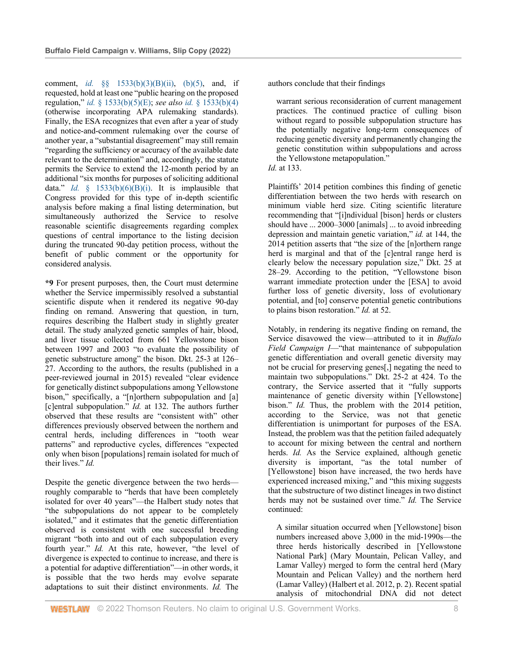comment, *id.* §§ 1533(b)(3)(B)(ii), (b)(5), and, if requested, hold at least one "public hearing on the proposed regulation," *id.* § 1533(b)(5)(E); *see also id.* § 1533(b)(4) (otherwise incorporating APA rulemaking standards). Finally, the ESA recognizes that even after a year of study and notice-and-comment rulemaking over the course of another year, a "substantial disagreement" may still remain "regarding the sufficiency or accuracy of the available date relevant to the determination" and, accordingly, the statute permits the Service to extend the 12-month period by an additional "six months for purposes of soliciting additional data." *Id.*  $\frac{1}{2}$  1533(b)(6)(B)(i). It is implausible that Congress provided for this type of in-depth scientific analysis before making a final listing determination, but simultaneously authorized the Service to resolve reasonable scientific disagreements regarding complex questions of central importance to the listing decision during the truncated 90-day petition process, without the benefit of public comment or the opportunity for considered analysis.

**\*9** For present purposes, then, the Court must determine whether the Service impermissibly resolved a substantial scientific dispute when it rendered its negative 90-day finding on remand. Answering that question, in turn, requires describing the Halbert study in slightly greater detail. The study analyzed genetic samples of hair, blood, and liver tissue collected from 661 Yellowstone bison between 1997 and 2003 "to evaluate the possibility of genetic substructure among" the bison. Dkt. 25-3 at 126– 27. According to the authors, the results (published in a peer-reviewed journal in 2015) revealed "clear evidence for genetically distinct subpopulations among Yellowstone bison," specifically, a "[n]orthern subpopulation and [a] [c]entral subpopulation." *Id.* at 132. The authors further observed that these results are "consistent with" other differences previously observed between the northern and central herds, including differences in "tooth wear patterns" and reproductive cycles, differences "expected only when bison [populations] remain isolated for much of their lives." *Id.*

Despite the genetic divergence between the two herds roughly comparable to "herds that have been completely isolated for over 40 years"—the Halbert study notes that "the subpopulations do not appear to be completely isolated," and it estimates that the genetic differentiation observed is consistent with one successful breeding migrant "both into and out of each subpopulation every fourth year." *Id.* At this rate, however, "the level of divergence is expected to continue to increase, and there is a potential for adaptive differentiation"—in other words, it is possible that the two herds may evolve separate adaptations to suit their distinct environments. *Id.* The

authors conclude that their findings

warrant serious reconsideration of current management practices. The continued practice of culling bison without regard to possible subpopulation structure has the potentially negative long-term consequences of reducing genetic diversity and permanently changing the genetic constitution within subpopulations and across the Yellowstone metapopulation." *Id.* at 133.



Notably, in rendering its negative finding on remand, the Service disavowed the view—attributed to it in *Buffalo Field Campaign I*—"that maintenance of subpopulation genetic differentiation and overall genetic diversity may not be crucial for preserving genes[,] negating the need to maintain two subpopulations." Dkt. 25-2 at 424. To the contrary, the Service asserted that it "fully supports maintenance of genetic diversity within [Yellowstone] bison." *Id.* Thus, the problem with the 2014 petition, according to the Service, was not that genetic differentiation is unimportant for purposes of the ESA. Instead, the problem was that the petition failed adequately to account for mixing between the central and northern herds. *Id.* As the Service explained, although genetic diversity is important, "as the total number of [Yellowstone] bison have increased, the two herds have experienced increased mixing," and "this mixing suggests that the substructure of two distinct lineages in two distinct herds may not be sustained over time." *Id.* The Service continued:

A similar situation occurred when [Yellowstone] bison numbers increased above 3,000 in the mid-1990s—the three herds historically described in [Yellowstone National Park] (Mary Mountain, Pelican Valley, and Lamar Valley) merged to form the central herd (Mary Mountain and Pelican Valley) and the northern herd (Lamar Valley) (Halbert et al. 2012, p. 2). Recent spatial analysis of mitochondrial DNA did not detect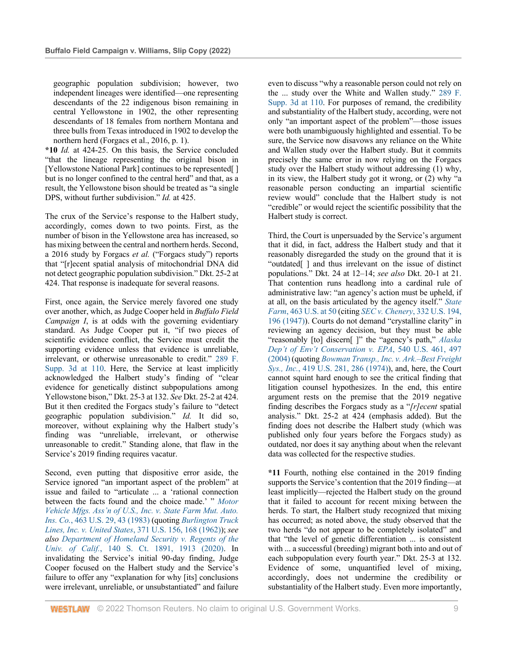geographic population subdivision; however, two independent lineages were identified—one representing descendants of the 22 indigenous bison remaining in central Yellowstone in 1902, the other representing descendants of 18 females from northern Montana and three bulls from Texas introduced in 1902 to develop the northern herd (Forgacs et al., 2016, p. 1).

**\*10** *Id.* at 424-25. On this basis, the Service concluded "that the lineage representing the original bison in [Yellowstone National Park] continues to be represented[] but is no longer confined to the central herd" and that, as a result, the Yellowstone bison should be treated as "a single DPS, without further subdivision." *Id.* at 425.

The crux of the Service's response to the Halbert study, accordingly, comes down to two points. First, as the number of bison in the Yellowstone area has increased, so has mixing between the central and northern herds. Second, a 2016 study by Forgacs *et al.* ("Forgacs study") reports that "[r]ecent spatial analysis of mitochondrial DNA did not detect geographic population subdivision." Dkt. 25-2 at 424. That response is inadequate for several reasons.

First, once again, the Service merely favored one study over another, which, as Judge Cooper held in *Buffalo Field Campaign I*, is at odds with the governing evidentiary standard. As Judge Cooper put it, "if two pieces of scientific evidence conflict, the Service must credit the supporting evidence unless that evidence is unreliable, irrelevant, or otherwise unreasonable to credit." 289 F. Supp. 3d at 110. Here, the Service at least implicitly acknowledged the Halbert study's finding of "clear evidence for genetically distinct subpopulations among Yellowstone bison," Dkt. 25-3 at 132. *See* Dkt. 25-2 at 424. But it then credited the Forgacs study's failure to "detect geographic population subdivision." *Id.* It did so, moreover, without explaining why the Halbert study's finding was "unreliable, irrelevant, or otherwise unreasonable to credit." Standing alone, that flaw in the Service's 2019 finding requires vacatur.

Second, even putting that dispositive error aside, the Service ignored "an important aspect of the problem" at issue and failed to "articulate ... a 'rational connection between the facts found and the choice made.' " *Motor Vehicle Mfgs. Ass'n of U.S., Inc. v. State Farm Mut. Auto. Ins. Co.*, 463 U.S. 29, 43 (1983) (quoting *Burlington Truck Lines, Inc. v. United States*, 371 U.S. 156, 168 (1962)); *see also Department of Homeland Security v. Regents of the Univ. of Calif.*, 140 S. Ct. 1891, 1913 (2020). In invalidating the Service's initial 90-day finding, Judge Cooper focused on the Halbert study and the Service's failure to offer any "explanation for why [its] conclusions were irrelevant, unreliable, or unsubstantiated" and failure

even to discuss "why a reasonable person could not rely on the ... study over the White and Wallen study." 289 F. Supp. 3d at 110. For purposes of remand, the credibility and substantiality of the Halbert study, according, were not only "an important aspect of the problem"—those issues were both unambiguously highlighted and essential. To be sure, the Service now disavows any reliance on the White and Wallen study over the Halbert study. But it commits precisely the same error in now relying on the Forgacs study over the Halbert study without addressing (1) why, in its view, the Halbert study got it wrong, or (2) why "a reasonable person conducting an impartial scientific review would" conclude that the Halbert study is not "credible" or would reject the scientific possibility that the Halbert study is correct.

Third, the Court is unpersuaded by the Service's argument that it did, in fact, address the Halbert study and that it reasonably disregarded the study on the ground that it is "outdated[ ] and thus irrelevant on the issue of distinct populations." Dkt. 24 at 12–14; *see also* Dkt. 20-1 at 21. That contention runs headlong into a cardinal rule of administrative law: "an agency's action must be upheld, if at all, on the basis articulated by the agency itself." *State Farm*, 463 U.S. at 50 (citing *SEC v. Chenery*, 332 U.S. 194, 196 (1947)). Courts do not demand "crystalline clarity" in reviewing an agency decision, but they must be able "reasonably [to] discern[ ]" the "agency's path," *Alaska Dep't of Env't Conservation v. EPA*, 540 U.S. 461, 497 (2004) (quoting *Bowman Transp., Inc. v. Ark.–Best Freight Sys., Inc.*, 419 U.S. 281, 286 (1974)), and, here, the Court cannot squint hard enough to see the critical finding that litigation counsel hypothesizes. In the end, this entire argument rests on the premise that the 2019 negative finding describes the Forgacs study as a "*[r]ecent* spatial analysis." Dkt. 25-2 at 424 (emphasis added). But the finding does not describe the Halbert study (which was published only four years before the Forgacs study) as outdated, nor does it say anything about when the relevant data was collected for the respective studies.

**\*11** Fourth, nothing else contained in the 2019 finding supports the Service's contention that the 2019 finding—at least implicitly—rejected the Halbert study on the ground that it failed to account for recent mixing between the herds. To start, the Halbert study recognized that mixing has occurred; as noted above, the study observed that the two herds "do not appear to be completely isolated" and that "the level of genetic differentiation ... is consistent with ... a successful (breeding) migrant both into and out of each subpopulation every fourth year." Dkt. 25-3 at 132. Evidence of some, unquantified level of mixing, accordingly, does not undermine the credibility or substantiality of the Halbert study. Even more importantly,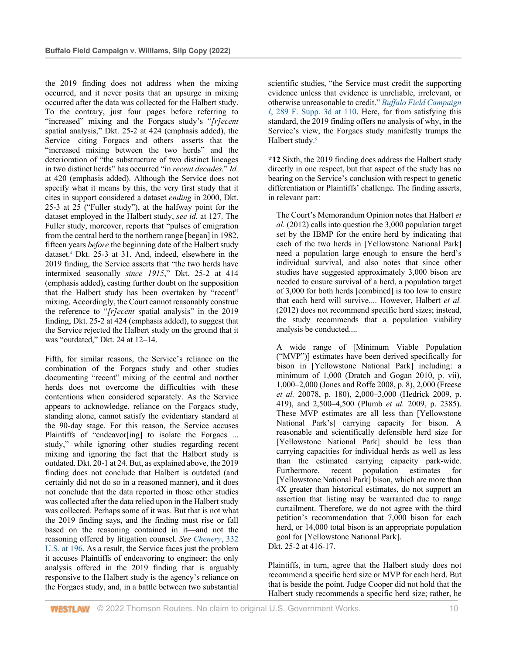the 2019 finding does not address when the mixing occurred, and it never posits that an upsurge in mixing occurred after the data was collected for the Halbert study. To the contrary, just four pages before referring to "increased" mixing and the Forgacs study's "*[r]ecent* spatial analysis," Dkt. 25-2 at 424 (emphasis added), the Service—citing Forgacs and others—asserts that the "increased mixing between the two herds" and the deterioration of "the substructure of two distinct lineages in two distinct herds" has occurred "in *recent decades.*" *Id.* at 420 (emphasis added). Although the Service does not specify what it means by this, the very first study that it cites in support considered a dataset *ending* in 2000, Dkt. 25-3 at 25 ("Fuller study"), at the halfway point for the dataset employed in the Halbert study, *see id.* at 127. The Fuller study, moreover, reports that "pulses of emigration from the central herd to the northern range [began] in 1982, fifteen years *before* the beginning date of the Halbert study dataset.4 Dkt. 25-3 at 31. And, indeed, elsewhere in the 2019 finding, the Service asserts that "the two herds have intermixed seasonally *since 1915*," Dkt. 25-2 at 414 (emphasis added), casting further doubt on the supposition that the Halbert study has been overtaken by "recent" mixing. Accordingly, the Court cannot reasonably construe the reference to "*[r]ecent* spatial analysis" in the 2019 finding, Dkt. 25-2 at 424 (emphasis added), to suggest that the Service rejected the Halbert study on the ground that it was "outdated," Dkt. 24 at 12–14.

Fifth, for similar reasons, the Service's reliance on the combination of the Forgacs study and other studies documenting "recent" mixing of the central and norther herds does not overcome the difficulties with these contentions when considered separately. As the Service appears to acknowledge, reliance on the Forgacs study, standing alone, cannot satisfy the evidentiary standard at the 90-day stage. For this reason, the Service accuses Plaintiffs of "endeavor[ing] to isolate the Forgacs ... study," while ignoring other studies regarding recent mixing and ignoring the fact that the Halbert study is outdated. Dkt. 20-1 at 24. But, as explained above, the 2019 finding does not conclude that Halbert is outdated (and certainly did not do so in a reasoned manner), and it does not conclude that the data reported in those other studies was collected after the data relied upon in the Halbert study was collected. Perhaps some of it was. But that is not what the 2019 finding says, and the finding must rise or fall based on the reasoning contained in it—and not the reasoning offered by litigation counsel. *See Chenery*, 332 U.S. at 196. As a result, the Service faces just the problem it accuses Plaintiffs of endeavoring to engineer: the only analysis offered in the 2019 finding that is arguably responsive to the Halbert study is the agency's reliance on the Forgacs study, and, in a battle between two substantial

scientific studies, "the Service must credit the supporting evidence unless that evidence is unreliable, irrelevant, or otherwise unreasonable to credit." *Buffalo Field Campaign I*, 289 F. Supp. 3d at 110. Here, far from satisfying this standard, the 2019 finding offers no analysis of why, in the Service's view, the Forgacs study manifestly trumps the Halbert study.<sup>5</sup>

**\*12** Sixth, the 2019 finding does address the Halbert study directly in one respect, but that aspect of the study has no bearing on the Service's conclusion with respect to genetic differentiation or Plaintiffs' challenge. The finding asserts, in relevant part:

The Court's Memorandum Opinion notes that Halbert *et al.* (2012) calls into question the 3,000 population target set by the IBMP for the entire herd by indicating that each of the two herds in [Yellowstone National Park] need a population large enough to ensure the herd's individual survival, and also notes that since other studies have suggested approximately 3,000 bison are needed to ensure survival of a herd, a population target of 3,000 for both herds [combined] is too low to ensure that each herd will survive.... However, Halbert *et al.* (2012) does not recommend specific herd sizes; instead, the study recommends that a population viability analysis be conducted....

A wide range of [Minimum Viable Population ("MVP")] estimates have been derived specifically for bison in [Yellowstone National Park] including: a minimum of 1,000 (Dratch and Gogan 2010, p. vii), 1,000–2,000 (Jones and Roffe 2008, p. 8), 2,000 (Freese *et al.* 20078, p. 180), 2,000–3,000 (Hedrick 2009, p. 419), and 2,500–4,500 (Plumb *et al.* 2009, p. 2385). These MVP estimates are all less than [Yellowstone National Park's] carrying capacity for bison. A reasonable and scientifically defensible herd size for [Yellowstone National Park] should be less than carrying capacities for individual herds as well as less than the estimated carrying capacity park-wide. Furthermore, recent population estimates for [Yellowstone National Park] bison, which are more than 4X greater than historical estimates, do not support an assertion that listing may be warranted due to range curtailment. Therefore, we do not agree with the third petition's recommendation that 7,000 bison for each herd, or 14,000 total bison is an appropriate population goal for [Yellowstone National Park].

Dkt. 25-2 at 416-17.

Plaintiffs, in turn, agree that the Halbert study does not recommend a specific herd size or MVP for each herd. But that is beside the point. Judge Cooper did not hold that the Halbert study recommends a specific herd size; rather, he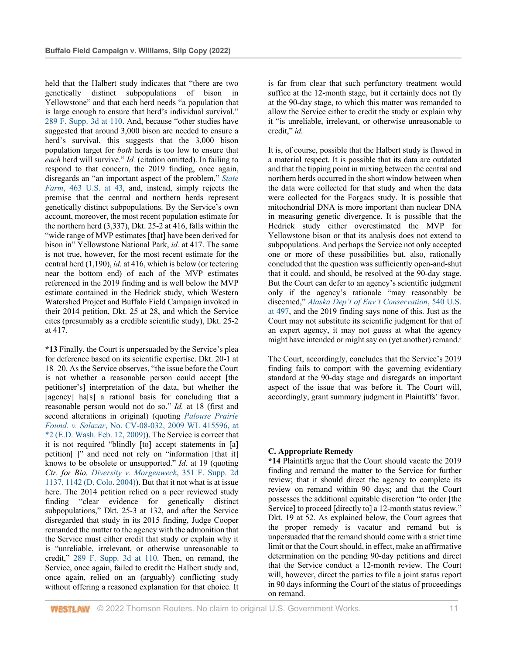held that the Halbert study indicates that "there are two genetically distinct subpopulations of bison in Yellowstone" and that each herd needs "a population that is large enough to ensure that herd's individual survival." 289 F. Supp. 3d at 110. And, because "other studies have suggested that around 3,000 bison are needed to ensure a herd's survival, this suggests that the 3,000 bison population target for *both* herds is too low to ensure that *each* herd will survive." *Id.* (citation omitted). In failing to respond to that concern, the 2019 finding, once again, disregards an "an important aspect of the problem," *State Farm*, 463 U.S. at 43, and, instead, simply rejects the premise that the central and northern herds represent genetically distinct subpopulations. By the Service's own account, moreover, the most recent population estimate for the northern herd (3,337), Dkt. 25-2 at 416, falls within the "wide range of MVP estimates [that] have been derived for bison in" Yellowstone National Park, *id.* at 417. The same is not true, however, for the most recent estimate for the central herd (1,190), *id.* at 416, which is below (or teetering near the bottom end) of each of the MVP estimates referenced in the 2019 finding and is well below the MVP estimate contained in the Hedrick study, which Western Watershed Project and Buffalo Field Campaign invoked in their 2014 petition, Dkt. 25 at 28, and which the Service cites (presumably as a credible scientific study), Dkt. 25-2 at 417.

**\*13** Finally, the Court is unpersuaded by the Service's plea for deference based on its scientific expertise. Dkt. 20-1 at 18–20. As the Service observes, "the issue before the Court is not whether a reasonable person could accept [the petitioner's] interpretation of the data, but whether the [agency] ha<sup>[s]</sup> a rational basis for concluding that a reasonable person would not do so." *Id.* at 18 (first and second alterations in original) (quoting *Palouse Prairie Found. v. Salazar*, No. CV-08-032, 2009 WL 415596, at \*2 (E.D. Wash. Feb. 12, 2009)). The Service is correct that it is not required "blindly [to] accept statements in [a] petition[ ]" and need not rely on "information [that it] knows to be obsolete or unsupported." *Id.* at 19 (quoting *Ctr. for Bio. Diversity v. Morgenweck*, 351 F. Supp. 2d 1137, 1142 (D. Colo. 2004)). But that it not what is at issue here. The 2014 petition relied on a peer reviewed study finding "clear evidence for genetically distinct subpopulations," Dkt. 25-3 at 132, and after the Service disregarded that study in its 2015 finding, Judge Cooper remanded the matter to the agency with the admonition that the Service must either credit that study or explain why it is "unreliable, irrelevant, or otherwise unreasonable to credit," 289 F. Supp. 3d at 110. Then, on remand, the Service, once again, failed to credit the Halbert study and, once again, relied on an (arguably) conflicting study without offering a reasoned explanation for that choice. It is far from clear that such perfunctory treatment would suffice at the 12-month stage, but it certainly does not fly at the 90-day stage, to which this matter was remanded to allow the Service either to credit the study or explain why it "is unreliable, irrelevant, or otherwise unreasonable to credit," *id.*

It is, of course, possible that the Halbert study is flawed in a material respect. It is possible that its data are outdated and that the tipping point in mixing between the central and northern herds occurred in the short window between when the data were collected for that study and when the data were collected for the Forgacs study. It is possible that mitochondrial DNA is more important than nuclear DNA in measuring genetic divergence. It is possible that the Hedrick study either overestimated the MVP for Yellowstone bison or that its analysis does not extend to subpopulations. And perhaps the Service not only accepted one or more of these possibilities but, also, rationally concluded that the question was sufficiently open-and-shut that it could, and should, be resolved at the 90-day stage. But the Court can defer to an agency's scientific judgment only if the agency's rationale "may reasonably be discerned," *Alaska Dep't of Env't Conservation*, 540 U.S. at 497, and the 2019 finding says none of this. Just as the Court may not substitute its scientific judgment for that of an expert agency, it may not guess at what the agency might have intended or might say on (yet another) remand.<sup>6</sup>

The Court, accordingly, concludes that the Service's 2019 finding fails to comport with the governing evidentiary standard at the 90-day stage and disregards an important aspect of the issue that was before it. The Court will, accordingly, grant summary judgment in Plaintiffs' favor.

# **C. Appropriate Remedy**

**\*14** Plaintiffs argue that the Court should vacate the 2019 finding and remand the matter to the Service for further review; that it should direct the agency to complete its review on remand within 90 days; and that the Court possesses the additional equitable discretion "to order [the Service] to proceed [directly to] a 12-month status review." Dkt. 19 at 52. As explained below, the Court agrees that the proper remedy is vacatur and remand but is unpersuaded that the remand should come with a strict time limit or that the Court should, in effect, make an affirmative determination on the pending 90-day petitions and direct that the Service conduct a 12-month review. The Court will, however, direct the parties to file a joint status report in 90 days informing the Court of the status of proceedings on remand.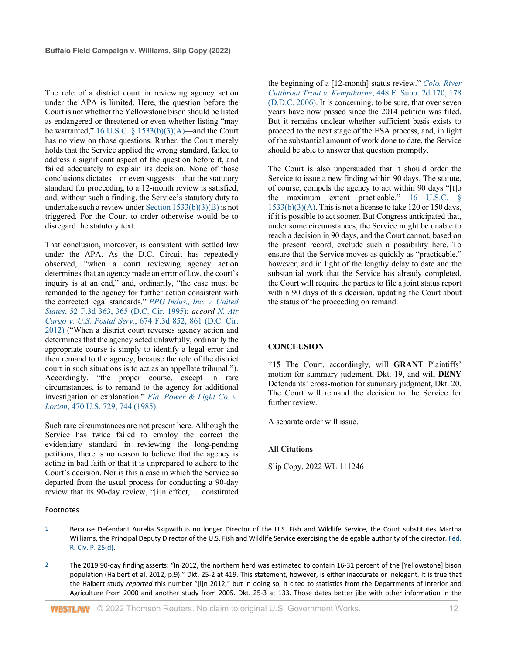The role of a district court in reviewing agency action under the APA is limited. Here, the question before the Court is not whether the Yellowstone bison should be listed as endangered or threatened or even whether listing "may be warranted,"  $16$  U.S.C. §  $1533(b)(3)(A)$ —and the Court has no view on those questions. Rather, the Court merely holds that the Service applied the wrong standard, failed to address a significant aspect of the question before it, and failed adequately to explain its decision. None of those conclusions dictates—or even suggests—that the statutory standard for proceeding to a 12-month review is satisfied, and, without such a finding, the Service's statutory duty to undertake such a review under Section 1533(b)(3)(B) is not triggered. For the Court to order otherwise would be to disregard the statutory text.

That conclusion, moreover, is consistent with settled law under the APA. As the D.C. Circuit has repeatedly observed, "when a court reviewing agency action determines that an agency made an error of law, the court's inquiry is at an end," and, ordinarily, "the case must be remanded to the agency for further action consistent with the corrected legal standards." *PPG Indus., Inc. v. United States*, 52 F.3d 363, 365 (D.C. Cir. 1995); *accord N. Air Cargo v. U.S. Postal Serv.*, 674 F.3d 852, 861 (D.C. Cir. 2012) ("When a district court reverses agency action and determines that the agency acted unlawfully, ordinarily the appropriate course is simply to identify a legal error and then remand to the agency, because the role of the district court in such situations is to act as an appellate tribunal."). Accordingly, "the proper course, except in rare circumstances, is to remand to the agency for additional investigation or explanation." *Fla. Power & Light Co. v. Lorion*, 470 U.S. 729, 744 (1985).

Such rare circumstances are not present here. Although the Service has twice failed to employ the correct the evidentiary standard in reviewing the long-pending petitions, there is no reason to believe that the agency is acting in bad faith or that it is unprepared to adhere to the Court's decision. Nor is this a case in which the Service so departed from the usual process for conducting a 90-day review that its 90-day review, "[i]n effect, ... constituted

### Footnotes

the beginning of a [12-month] status review." *Colo. River Cutthroat Trout v. Kempthorne*, 448 F. Supp. 2d 170, 178 (D.D.C. 2006). It is concerning, to be sure, that over seven years have now passed since the 2014 petition was filed. But it remains unclear whether sufficient basis exists to proceed to the next stage of the ESA process, and, in light of the substantial amount of work done to date, the Service should be able to answer that question promptly.

The Court is also unpersuaded that it should order the Service to issue a new finding within 90 days. The statute, of course, compels the agency to act within 90 days "[t]o the maximum extent practicable." 16 U.S.C. §  $1533(b)(3)(A)$ . This is not a license to take 120 or 150 days, if it is possible to act sooner. But Congress anticipated that, under some circumstances, the Service might be unable to reach a decision in 90 days, and the Court cannot, based on the present record, exclude such a possibility here. To ensure that the Service moves as quickly as "practicable," however, and in light of the lengthy delay to date and the substantial work that the Service has already completed, the Court will require the parties to file a joint status report within 90 days of this decision, updating the Court about the status of the proceeding on remand.

# **CONCLUSION**

**\*15** The Court, accordingly, will **GRANT** Plaintiffs' motion for summary judgment, Dkt. 19, and will **DENY** Defendants' cross-motion for summary judgment, Dkt. 20. The Court will remand the decision to the Service for further review.

A separate order will issue.

### **All Citations**

Slip Copy, 2022 WL 111246

- 1 Because Defendant Aurelia Skipwith is no longer Director of the U.S. Fish and Wildlife Service, the Court substitutes Martha Williams, the Principal Deputy Director of the U.S. Fish and Wildlife Service exercising the delegable authority of the director. Fed. R. Civ. P. 25(d).
- <sup>2</sup> The 2019 90-day finding asserts: "In 2012, the northern herd was estimated to contain 16-31 percent of the [Yellowstone] bison population (Halbert et al. 2012, p.9)." Dkt. 25-2 at 419. This statement, however, is either inaccurate or inelegant. It is true that the Halbert study *reported* this number "[i]n 2012," but in doing so, it cited to statistics from the Departments of Interior and Agriculture from 2000 and another study from 2005. Dkt. 25-3 at 133. Those dates better jibe with other information in the